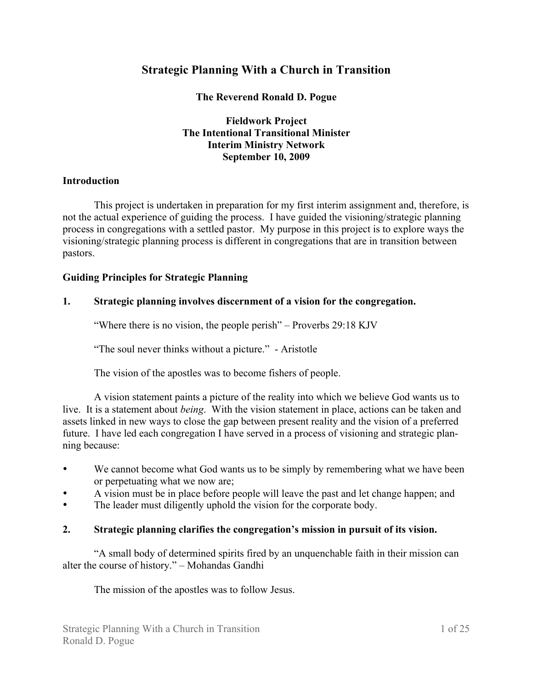# **Strategic Planning With a Church in Transition**

**The Reverend Ronald D. Pogue**

**Fieldwork Project The Intentional Transitional Minister Interim Ministry Network September 10, 2009**

#### **Introduction**

This project is undertaken in preparation for my first interim assignment and, therefore, is not the actual experience of guiding the process. I have guided the visioning/strategic planning process in congregations with a settled pastor. My purpose in this project is to explore ways the visioning/strategic planning process is different in congregations that are in transition between pastors.

#### **Guiding Principles for Strategic Planning**

#### **1. Strategic planning involves discernment of a vision for the congregation.**

"Where there is no vision, the people perish" – Proverbs 29:18 KJV

"The soul never thinks without a picture." - Aristotle

The vision of the apostles was to become fishers of people.

A vision statement paints a picture of the reality into which we believe God wants us to live. It is a statement about *being*. With the vision statement in place, actions can be taken and assets linked in new ways to close the gap between present reality and the vision of a preferred future. I have led each congregation I have served in a process of visioning and strategic planning because:

- We cannot become what God wants us to be simply by remembering what we have been or perpetuating what we now are;
- A vision must be in place before people will leave the past and let change happen; and
- The leader must diligently uphold the vision for the corporate body.

#### **2. Strategic planning clarifies the congregation's mission in pursuit of its vision.**

"A small body of determined spirits fired by an unquenchable faith in their mission can alter the course of history." – Mohandas Gandhi

The mission of the apostles was to follow Jesus.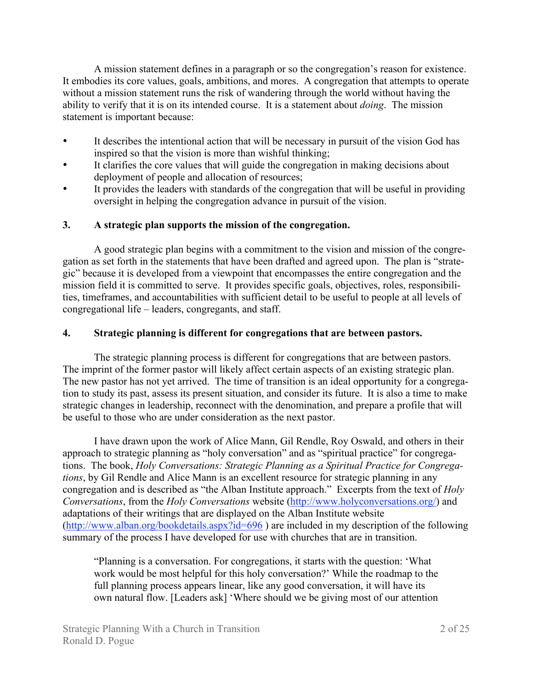A mission statement defines in a paragraph or so the congregation's reason for existence. It embodies its core values, goals, ambitions, and mores. A congregation that attempts to operate without a mission statement runs the risk of wandering through the world without having the ability to verify that it is on its intended course. It is a statement about *doing*. The mission statement is important because:

- It describes the intentional action that will be necessary in pursuit of the vision God has inspired so that the vision is more than wishful thinking;
- It clarifies the core values that will guide the congregation in making decisions about deployment of people and allocation of resources;
- It provides the leaders with standards of the congregation that will be useful in providing oversight in helping the congregation advance in pursuit of the vision.

### **3. A strategic plan supports the mission of the congregation.**

A good strategic plan begins with a commitment to the vision and mission of the congregation as set forth in the statements that have been drafted and agreed upon. The plan is "strategic" because it is developed from a viewpoint that encompasses the entire congregation and the mission field it is committed to serve. It provides specific goals, objectives, roles, responsibilities, timeframes, and accountabilities with sufficient detail to be useful to people at all levels of congregational life – leaders, congregants, and staff.

### **4. Strategic planning is different for congregations that are between pastors.**

The strategic planning process is different for congregations that are between pastors. The imprint of the former pastor will likely affect certain aspects of an existing strategic plan. The new pastor has not yet arrived. The time of transition is an ideal opportunity for a congregation to study its past, assess its present situation, and consider its future. It is also a time to make strategic changes in leadership, reconnect with the denomination, and prepare a profile that will be useful to those who are under consideration as the next pastor.

I have drawn upon the work of Alice Mann, Gil Rendle, Roy Oswald, and others in their approach to strategic planning as "holy conversation" and as "spiritual practice" for congregations. The book, *Holy Conversations: Strategic Planning as a Spiritual Practice for Congregations*, by Gil Rendle and Alice Mann is an excellent resource for strategic planning in any congregation and is described as "the Alban Institute approach." Excerpts from the text of *Holy Conversations*, from the *Holy Conversations* website (http://www.holyconversations.org/) and adaptations of their writings that are displayed on the Alban Institute website (http://www.alban.org/bookdetails.aspx?id=696 ) are included in my description of the following summary of the process I have developed for use with churches that are in transition.

"Planning is a conversation. For congregations, it starts with the question: 'What work would be most helpful for this holy conversation?' While the roadmap to the full planning process appears linear, like any good conversation, it will have its own natural flow. [Leaders ask] 'Where should we be giving most of our attention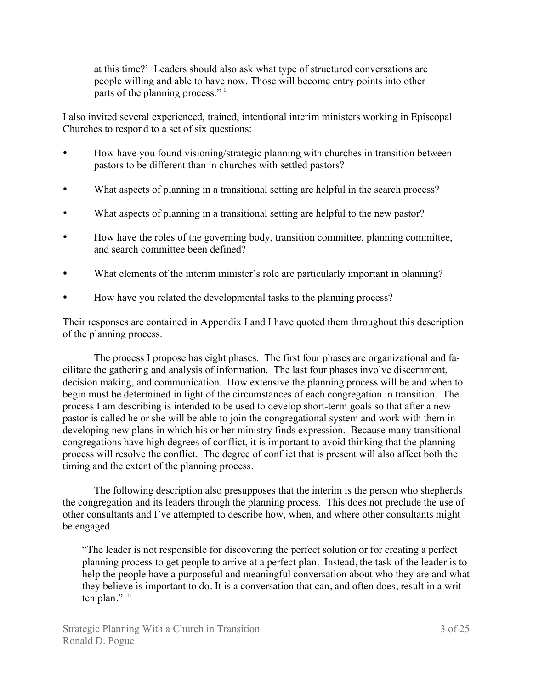at this time?' Leaders should also ask what type of structured conversations are people willing and able to have now. Those will become entry points into other parts of the planning process." i

I also invited several experienced, trained, intentional interim ministers working in Episcopal Churches to respond to a set of six questions:

- How have you found visioning/strategic planning with churches in transition between pastors to be different than in churches with settled pastors?
- What aspects of planning in a transitional setting are helpful in the search process?
- What aspects of planning in a transitional setting are helpful to the new pastor?
- How have the roles of the governing body, transition committee, planning committee, and search committee been defined?
- What elements of the interim minister's role are particularly important in planning?
- How have you related the developmental tasks to the planning process?

Their responses are contained in Appendix I and I have quoted them throughout this description of the planning process.

The process I propose has eight phases. The first four phases are organizational and facilitate the gathering and analysis of information. The last four phases involve discernment, decision making, and communication. How extensive the planning process will be and when to begin must be determined in light of the circumstances of each congregation in transition. The process I am describing is intended to be used to develop short-term goals so that after a new pastor is called he or she will be able to join the congregational system and work with them in developing new plans in which his or her ministry finds expression. Because many transitional congregations have high degrees of conflict, it is important to avoid thinking that the planning process will resolve the conflict. The degree of conflict that is present will also affect both the timing and the extent of the planning process.

The following description also presupposes that the interim is the person who shepherds the congregation and its leaders through the planning process. This does not preclude the use of other consultants and I've attempted to describe how, when, and where other consultants might be engaged.

"The leader is not responsible for discovering the perfect solution or for creating a perfect planning process to get people to arrive at a perfect plan. Instead, the task of the leader is to help the people have a purposeful and meaningful conversation about who they are and what they believe is important to do. It is a conversation that can, and often does, result in a written plan." ii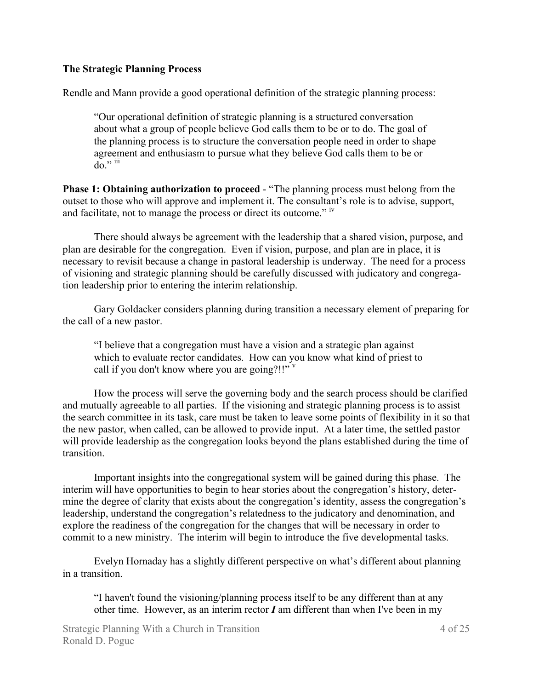#### **The Strategic Planning Process**

Rendle and Mann provide a good operational definition of the strategic planning process:

"Our operational definition of strategic planning is a structured conversation about what a group of people believe God calls them to be or to do. The goal of the planning process is to structure the conversation people need in order to shape agreement and enthusiasm to pursue what they believe God calls them to be or  $\overline{d}$ <sup>"</sup>

**Phase 1: Obtaining authorization to proceed** - "The planning process must belong from the outset to those who will approve and implement it. The consultant's role is to advise, support, and facilitate, not to manage the process or direct its outcome." iv

There should always be agreement with the leadership that a shared vision, purpose, and plan are desirable for the congregation. Even if vision, purpose, and plan are in place, it is necessary to revisit because a change in pastoral leadership is underway. The need for a process of visioning and strategic planning should be carefully discussed with judicatory and congregation leadership prior to entering the interim relationship.

Gary Goldacker considers planning during transition a necessary element of preparing for the call of a new pastor.

"I believe that a congregation must have a vision and a strategic plan against which to evaluate rector candidates. How can you know what kind of priest to call if you don't know where you are going?!!"  $V$ 

How the process will serve the governing body and the search process should be clarified and mutually agreeable to all parties. If the visioning and strategic planning process is to assist the search committee in its task, care must be taken to leave some points of flexibility in it so that the new pastor, when called, can be allowed to provide input. At a later time, the settled pastor will provide leadership as the congregation looks beyond the plans established during the time of transition.

Important insights into the congregational system will be gained during this phase. The interim will have opportunities to begin to hear stories about the congregation's history, determine the degree of clarity that exists about the congregation's identity, assess the congregation's leadership, understand the congregation's relatedness to the judicatory and denomination, and explore the readiness of the congregation for the changes that will be necessary in order to commit to a new ministry. The interim will begin to introduce the five developmental tasks.

Evelyn Hornaday has a slightly different perspective on what's different about planning in a transition.

"I haven't found the visioning/planning process itself to be any different than at any other time. However, as an interim rector *I* am different than when I've been in my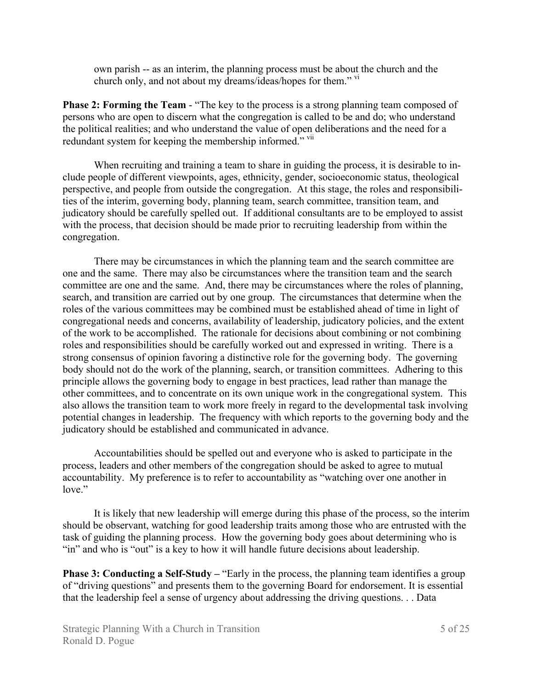own parish -- as an interim, the planning process must be about the church and the church only, and not about my dreams/ideas/hopes for them." v<sup>i</sup>

**Phase 2: Forming the Team** - "The key to the process is a strong planning team composed of persons who are open to discern what the congregation is called to be and do; who understand the political realities; and who understand the value of open deliberations and the need for a redundant system for keeping the membership informed." vii

When recruiting and training a team to share in guiding the process, it is desirable to include people of different viewpoints, ages, ethnicity, gender, socioeconomic status, theological perspective, and people from outside the congregation. At this stage, the roles and responsibilities of the interim, governing body, planning team, search committee, transition team, and judicatory should be carefully spelled out. If additional consultants are to be employed to assist with the process, that decision should be made prior to recruiting leadership from within the congregation.

There may be circumstances in which the planning team and the search committee are one and the same. There may also be circumstances where the transition team and the search committee are one and the same. And, there may be circumstances where the roles of planning, search, and transition are carried out by one group. The circumstances that determine when the roles of the various committees may be combined must be established ahead of time in light of congregational needs and concerns, availability of leadership, judicatory policies, and the extent of the work to be accomplished. The rationale for decisions about combining or not combining roles and responsibilities should be carefully worked out and expressed in writing. There is a strong consensus of opinion favoring a distinctive role for the governing body. The governing body should not do the work of the planning, search, or transition committees. Adhering to this principle allows the governing body to engage in best practices, lead rather than manage the other committees, and to concentrate on its own unique work in the congregational system. This also allows the transition team to work more freely in regard to the developmental task involving potential changes in leadership. The frequency with which reports to the governing body and the judicatory should be established and communicated in advance.

Accountabilities should be spelled out and everyone who is asked to participate in the process, leaders and other members of the congregation should be asked to agree to mutual accountability. My preference is to refer to accountability as "watching over one another in love."

It is likely that new leadership will emerge during this phase of the process, so the interim should be observant, watching for good leadership traits among those who are entrusted with the task of guiding the planning process. How the governing body goes about determining who is "in" and who is "out" is a key to how it will handle future decisions about leadership.

**Phase 3: Conducting a Self-Study – "Early in the process, the planning team identifies a group** of "driving questions" and presents them to the governing Board for endorsement. It is essential that the leadership feel a sense of urgency about addressing the driving questions. . . Data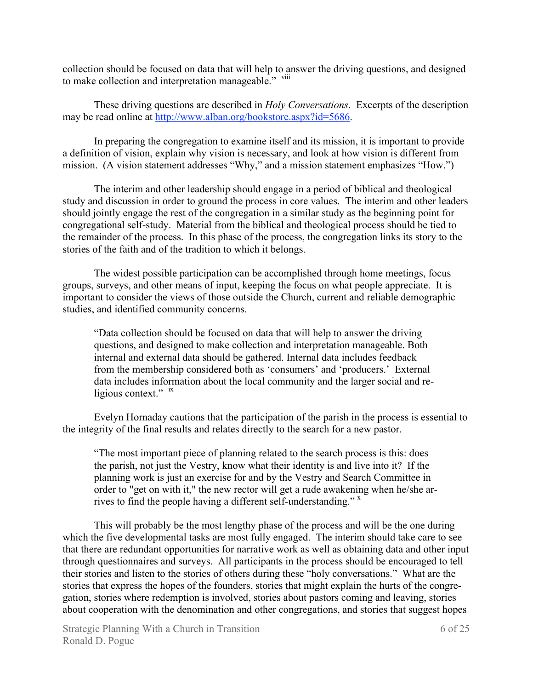collection should be focused on data that will help to answer the driving questions, and designed to make collection and interpretation manageable." viii

These driving questions are described in *Holy Conversations*. Excerpts of the description may be read online at http://www.alban.org/bookstore.aspx?id=5686.

In preparing the congregation to examine itself and its mission, it is important to provide a definition of vision, explain why vision is necessary, and look at how vision is different from mission. (A vision statement addresses "Why," and a mission statement emphasizes "How.")

The interim and other leadership should engage in a period of biblical and theological study and discussion in order to ground the process in core values. The interim and other leaders should jointly engage the rest of the congregation in a similar study as the beginning point for congregational self-study. Material from the biblical and theological process should be tied to the remainder of the process. In this phase of the process, the congregation links its story to the stories of the faith and of the tradition to which it belongs.

The widest possible participation can be accomplished through home meetings, focus groups, surveys, and other means of input, keeping the focus on what people appreciate. It is important to consider the views of those outside the Church, current and reliable demographic studies, and identified community concerns.

"Data collection should be focused on data that will help to answer the driving questions, and designed to make collection and interpretation manageable. Both internal and external data should be gathered. Internal data includes feedback from the membership considered both as 'consumers' and 'producers.' External data includes information about the local community and the larger social and religious context." ix

Evelyn Hornaday cautions that the participation of the parish in the process is essential to the integrity of the final results and relates directly to the search for a new pastor.

"The most important piece of planning related to the search process is this: does the parish, not just the Vestry, know what their identity is and live into it? If the planning work is just an exercise for and by the Vestry and Search Committee in order to "get on with it," the new rector will get a rude awakening when he/she arrives to find the people having a different self-understanding." $\frac{x}{x}$ 

This will probably be the most lengthy phase of the process and will be the one during which the five developmental tasks are most fully engaged. The interim should take care to see that there are redundant opportunities for narrative work as well as obtaining data and other input through questionnaires and surveys. All participants in the process should be encouraged to tell their stories and listen to the stories of others during these "holy conversations." What are the stories that express the hopes of the founders, stories that might explain the hurts of the congregation, stories where redemption is involved, stories about pastors coming and leaving, stories about cooperation with the denomination and other congregations, and stories that suggest hopes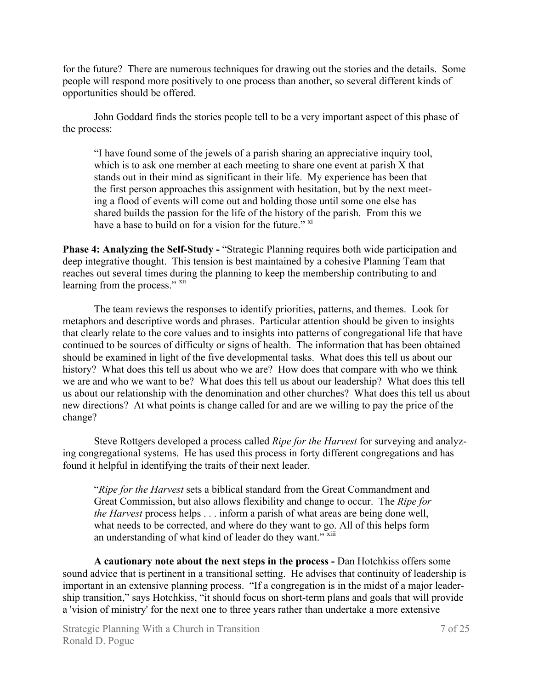for the future? There are numerous techniques for drawing out the stories and the details. Some people will respond more positively to one process than another, so several different kinds of opportunities should be offered.

John Goddard finds the stories people tell to be a very important aspect of this phase of the process:

"I have found some of the jewels of a parish sharing an appreciative inquiry tool, which is to ask one member at each meeting to share one event at parish X that stands out in their mind as significant in their life. My experience has been that the first person approaches this assignment with hesitation, but by the next meeting a flood of events will come out and holding those until some one else has shared builds the passion for the life of the history of the parish. From this we have a base to build on for a vision for the future."  $\frac{x^2}{x}$ 

**Phase 4: Analyzing the Self-Study - "Strategic Planning requires both wide participation and** deep integrative thought. This tension is best maintained by a cohesive Planning Team that reaches out several times during the planning to keep the membership contributing to and learning from the process." xii

The team reviews the responses to identify priorities, patterns, and themes. Look for metaphors and descriptive words and phrases. Particular attention should be given to insights that clearly relate to the core values and to insights into patterns of congregational life that have continued to be sources of difficulty or signs of health. The information that has been obtained should be examined in light of the five developmental tasks. What does this tell us about our history? What does this tell us about who we are? How does that compare with who we think we are and who we want to be? What does this tell us about our leadership? What does this tell us about our relationship with the denomination and other churches? What does this tell us about new directions? At what points is change called for and are we willing to pay the price of the change?

Steve Rottgers developed a process called *Ripe for the Harvest* for surveying and analyzing congregational systems. He has used this process in forty different congregations and has found it helpful in identifying the traits of their next leader.

"*Ripe for the Harvest* sets a biblical standard from the Great Commandment and Great Commission, but also allows flexibility and change to occur. The *Ripe for the Harvest* process helps . . . inform a parish of what areas are being done well, what needs to be corrected, and where do they want to go. All of this helps form an understanding of what kind of leader do they want."<sup>xiii</sup>

**A cautionary note about the next steps in the process -** Dan Hotchkiss offers some sound advice that is pertinent in a transitional setting. He advises that continuity of leadership is important in an extensive planning process. "If a congregation is in the midst of a major leadership transition," says Hotchkiss, "it should focus on short-term plans and goals that will provide a 'vision of ministry' for the next one to three years rather than undertake a more extensive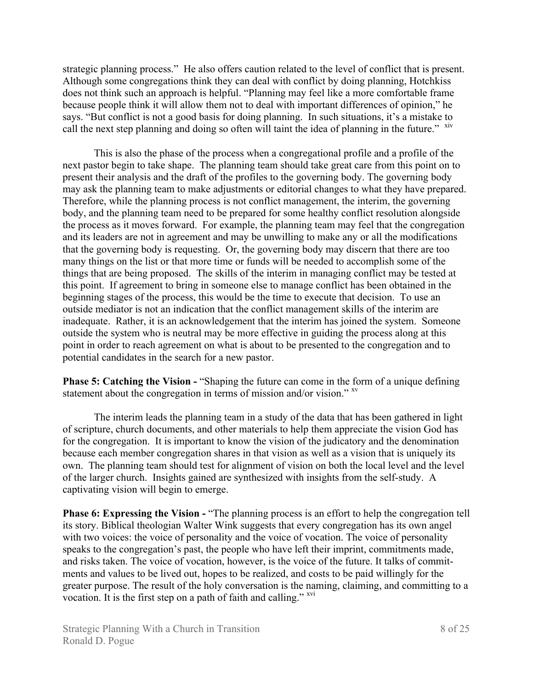strategic planning process." He also offers caution related to the level of conflict that is present. Although some congregations think they can deal with conflict by doing planning, Hotchkiss does not think such an approach is helpful. "Planning may feel like a more comfortable frame because people think it will allow them not to deal with important differences of opinion," he says. "But conflict is not a good basis for doing planning. In such situations, it's a mistake to call the next step planning and doing so often will taint the idea of planning in the future." xiv

This is also the phase of the process when a congregational profile and a profile of the next pastor begin to take shape. The planning team should take great care from this point on to present their analysis and the draft of the profiles to the governing body. The governing body may ask the planning team to make adjustments or editorial changes to what they have prepared. Therefore, while the planning process is not conflict management, the interim, the governing body, and the planning team need to be prepared for some healthy conflict resolution alongside the process as it moves forward. For example, the planning team may feel that the congregation and its leaders are not in agreement and may be unwilling to make any or all the modifications that the governing body is requesting. Or, the governing body may discern that there are too many things on the list or that more time or funds will be needed to accomplish some of the things that are being proposed. The skills of the interim in managing conflict may be tested at this point. If agreement to bring in someone else to manage conflict has been obtained in the beginning stages of the process, this would be the time to execute that decision. To use an outside mediator is not an indication that the conflict management skills of the interim are inadequate. Rather, it is an acknowledgement that the interim has joined the system. Someone outside the system who is neutral may be more effective in guiding the process along at this point in order to reach agreement on what is about to be presented to the congregation and to potential candidates in the search for a new pastor.

**Phase 5: Catching the Vision - "Shaping the future can come in the form of a unique defining** statement about the congregation in terms of mission and/or vision." <sup>xv</sup>

The interim leads the planning team in a study of the data that has been gathered in light of scripture, church documents, and other materials to help them appreciate the vision God has for the congregation. It is important to know the vision of the judicatory and the denomination because each member congregation shares in that vision as well as a vision that is uniquely its own. The planning team should test for alignment of vision on both the local level and the level of the larger church. Insights gained are synthesized with insights from the self-study. A captivating vision will begin to emerge.

**Phase 6: Expressing the Vision - "The planning process is an effort to help the congregation tell** its story. Biblical theologian Walter Wink suggests that every congregation has its own angel with two voices: the voice of personality and the voice of vocation. The voice of personality speaks to the congregation's past, the people who have left their imprint, commitments made, and risks taken. The voice of vocation, however, is the voice of the future. It talks of commitments and values to be lived out, hopes to be realized, and costs to be paid willingly for the greater purpose. The result of the holy conversation is the naming, claiming, and committing to a vocation. It is the first step on a path of faith and calling."  $\frac{1}{x}$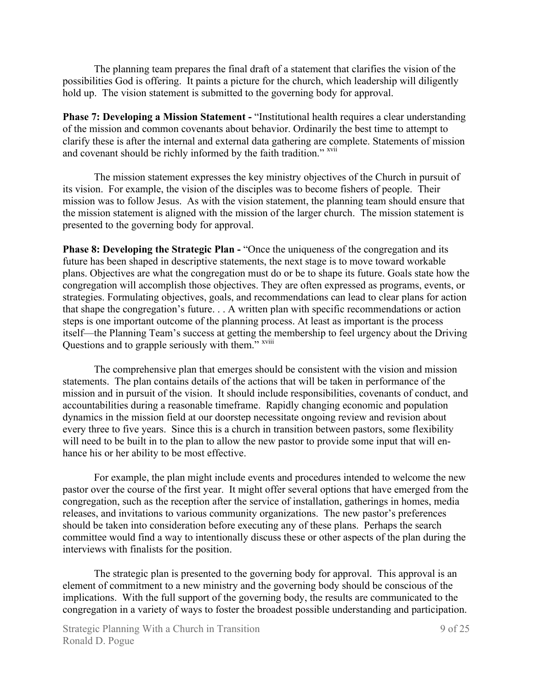The planning team prepares the final draft of a statement that clarifies the vision of the possibilities God is offering. It paints a picture for the church, which leadership will diligently hold up. The vision statement is submitted to the governing body for approval.

**Phase 7: Developing a Mission Statement - "Institutional health requires a clear understanding** of the mission and common covenants about behavior. Ordinarily the best time to attempt to clarify these is after the internal and external data gathering are complete. Statements of mission and covenant should be richly informed by the faith tradition." <sup>xvii</sup>

The mission statement expresses the key ministry objectives of the Church in pursuit of its vision. For example, the vision of the disciples was to become fishers of people. Their mission was to follow Jesus. As with the vision statement, the planning team should ensure that the mission statement is aligned with the mission of the larger church. The mission statement is presented to the governing body for approval.

**Phase 8: Developing the Strategic Plan -** "Once the uniqueness of the congregation and its future has been shaped in descriptive statements, the next stage is to move toward workable plans. Objectives are what the congregation must do or be to shape its future. Goals state how the congregation will accomplish those objectives. They are often expressed as programs, events, or strategies. Formulating objectives, goals, and recommendations can lead to clear plans for action that shape the congregation's future. . . A written plan with specific recommendations or action steps is one important outcome of the planning process. At least as important is the process itself—the Planning Team's success at getting the membership to feel urgency about the Driving Questions and to grapple seriously with them." <sup>xviii</sup>

The comprehensive plan that emerges should be consistent with the vision and mission statements. The plan contains details of the actions that will be taken in performance of the mission and in pursuit of the vision. It should include responsibilities, covenants of conduct, and accountabilities during a reasonable timeframe. Rapidly changing economic and population dynamics in the mission field at our doorstep necessitate ongoing review and revision about every three to five years. Since this is a church in transition between pastors, some flexibility will need to be built in to the plan to allow the new pastor to provide some input that will enhance his or her ability to be most effective.

For example, the plan might include events and procedures intended to welcome the new pastor over the course of the first year. It might offer several options that have emerged from the congregation, such as the reception after the service of installation, gatherings in homes, media releases, and invitations to various community organizations. The new pastor's preferences should be taken into consideration before executing any of these plans. Perhaps the search committee would find a way to intentionally discuss these or other aspects of the plan during the interviews with finalists for the position.

The strategic plan is presented to the governing body for approval. This approval is an element of commitment to a new ministry and the governing body should be conscious of the implications. With the full support of the governing body, the results are communicated to the congregation in a variety of ways to foster the broadest possible understanding and participation.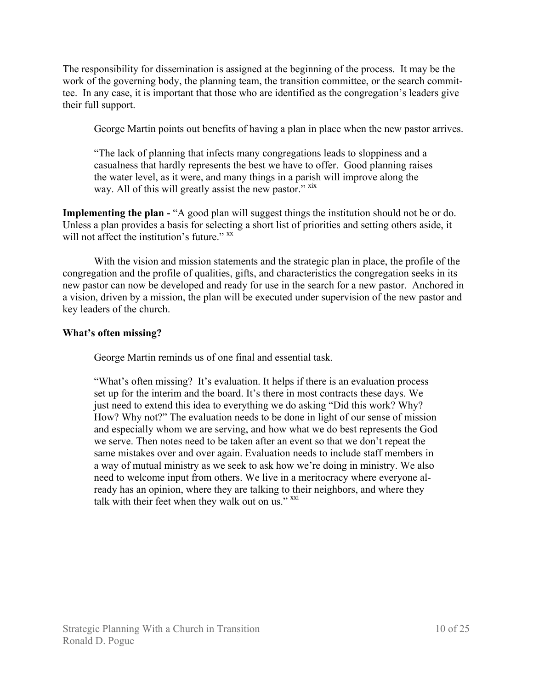The responsibility for dissemination is assigned at the beginning of the process. It may be the work of the governing body, the planning team, the transition committee, or the search committee. In any case, it is important that those who are identified as the congregation's leaders give their full support.

George Martin points out benefits of having a plan in place when the new pastor arrives.

"The lack of planning that infects many congregations leads to sloppiness and a casualness that hardly represents the best we have to offer. Good planning raises the water level, as it were, and many things in a parish will improve along the way. All of this will greatly assist the new pastor." xix

**Implementing the plan -** "A good plan will suggest things the institution should not be or do. Unless a plan provides a basis for selecting a short list of priorities and setting others aside, it will not affect the institution's future." xx

With the vision and mission statements and the strategic plan in place, the profile of the congregation and the profile of qualities, gifts, and characteristics the congregation seeks in its new pastor can now be developed and ready for use in the search for a new pastor. Anchored in a vision, driven by a mission, the plan will be executed under supervision of the new pastor and key leaders of the church.

### **What's often missing?**

George Martin reminds us of one final and essential task.

"What's often missing?It's evaluation. It helps if there is an evaluation process set up for the interim and the board. It's there in most contracts these days. We just need to extend this idea to everything we do asking "Did this work? Why? How? Why not?" The evaluation needs to be done in light of our sense of mission and especially whom we are serving, and how what we do best represents the God we serve. Then notes need to be taken after an event so that we don't repeat the same mistakes over and over again. Evaluation needs to include staff members in a way of mutual ministry as we seek to ask how we're doing in ministry. We also need to welcome input from others. We live in a meritocracy where everyone already has an opinion, where they are talking to their neighbors, and where they talk with their feet when they walk out on us."  $\frac{xxi}{x}$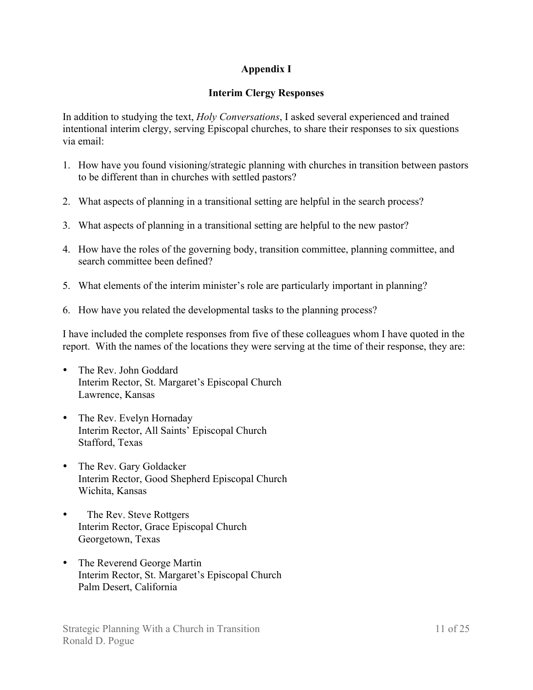## **Appendix I**

### **Interim Clergy Responses**

In addition to studying the text, *Holy Conversations*, I asked several experienced and trained intentional interim clergy, serving Episcopal churches, to share their responses to six questions via email:

- 1. How have you found visioning/strategic planning with churches in transition between pastors to be different than in churches with settled pastors?
- 2. What aspects of planning in a transitional setting are helpful in the search process?
- 3. What aspects of planning in a transitional setting are helpful to the new pastor?
- 4. How have the roles of the governing body, transition committee, planning committee, and search committee been defined?
- 5. What elements of the interim minister's role are particularly important in planning?
- 6. How have you related the developmental tasks to the planning process?

I have included the complete responses from five of these colleagues whom I have quoted in the report. With the names of the locations they were serving at the time of their response, they are:

- The Rev. John Goddard Interim Rector, St. Margaret's Episcopal Church Lawrence, Kansas
- The Rev. Evelyn Hornaday Interim Rector, All Saints' Episcopal Church Stafford, Texas
- The Rev. Gary Goldacker Interim Rector, Good Shepherd Episcopal Church Wichita, Kansas
- The Rev. Steve Rottgers Interim Rector, Grace Episcopal Church Georgetown, Texas
- The Reverend George Martin Interim Rector, St. Margaret's Episcopal Church Palm Desert, California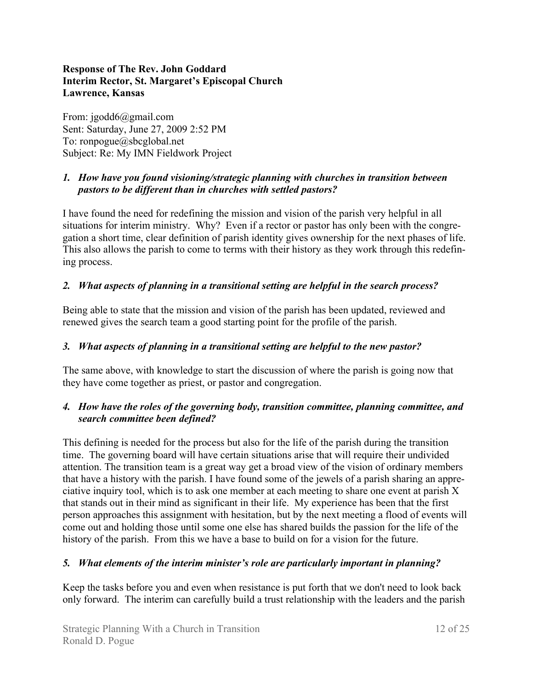### **Response of The Rev. John Goddard Interim Rector, St. Margaret's Episcopal Church Lawrence, Kansas**

From: jgodd6@gmail.com Sent: Saturday, June 27, 2009 2:52 PM To: ronpogue@sbcglobal.net Subject: Re: My IMN Fieldwork Project

## *1. How have you found visioning/strategic planning with churches in transition between pastors to be different than in churches with settled pastors?*

I have found the need for redefining the mission and vision of the parish very helpful in all situations for interim ministry. Why? Even if a rector or pastor has only been with the congregation a short time, clear definition of parish identity gives ownership for the next phases of life. This also allows the parish to come to terms with their history as they work through this redefining process.

### *2. What aspects of planning in a transitional setting are helpful in the search process?*

Being able to state that the mission and vision of the parish has been updated, reviewed and renewed gives the search team a good starting point for the profile of the parish.

### *3. What aspects of planning in a transitional setting are helpful to the new pastor?*

The same above, with knowledge to start the discussion of where the parish is going now that they have come together as priest, or pastor and congregation.

### *4. How have the roles of the governing body, transition committee, planning committee, and search committee been defined?*

This defining is needed for the process but also for the life of the parish during the transition time. The governing board will have certain situations arise that will require their undivided attention. The transition team is a great way get a broad view of the vision of ordinary members that have a history with the parish. I have found some of the jewels of a parish sharing an appreciative inquiry tool, which is to ask one member at each meeting to share one event at parish X that stands out in their mind as significant in their life. My experience has been that the first person approaches this assignment with hesitation, but by the next meeting a flood of events will come out and holding those until some one else has shared builds the passion for the life of the history of the parish. From this we have a base to build on for a vision for the future.

### *5. What elements of the interim minister's role are particularly important in planning?*

Keep the tasks before you and even when resistance is put forth that we don't need to look back only forward. The interim can carefully build a trust relationship with the leaders and the parish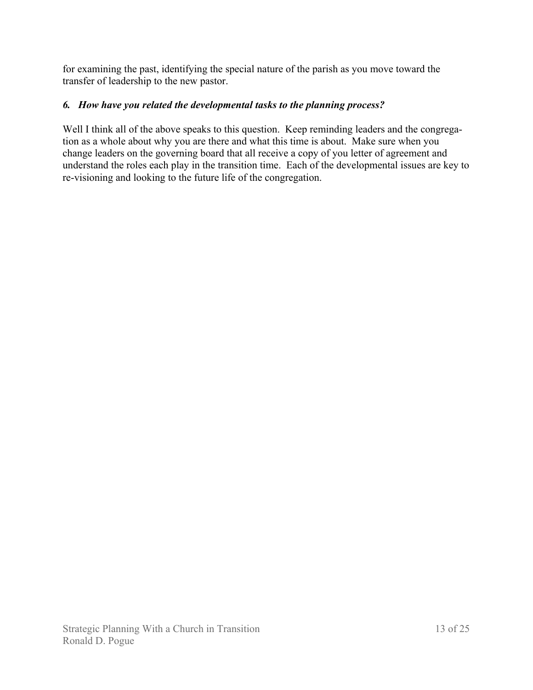for examining the past, identifying the special nature of the parish as you move toward the transfer of leadership to the new pastor.

# *6. How have you related the developmental tasks to the planning process?*

Well I think all of the above speaks to this question. Keep reminding leaders and the congregation as a whole about why you are there and what this time is about. Make sure when you change leaders on the governing board that all receive a copy of you letter of agreement and understand the roles each play in the transition time. Each of the developmental issues are key to re-visioning and looking to the future life of the congregation.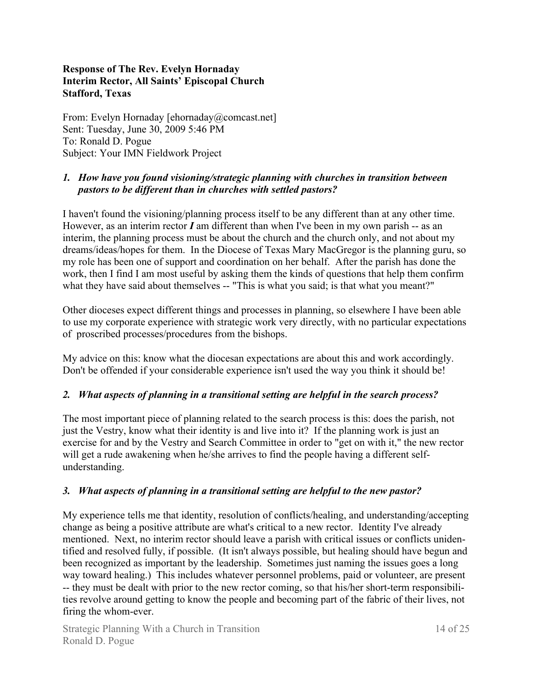### **Response of The Rev. Evelyn Hornaday Interim Rector, All Saints' Episcopal Church Stafford, Texas**

From: Evelyn Hornaday [ehornaday@comcast.net] Sent: Tuesday, June 30, 2009 5:46 PM To: Ronald D. Pogue Subject: Your IMN Fieldwork Project

### *1. How have you found visioning/strategic planning with churches in transition between pastors to be different than in churches with settled pastors?*

I haven't found the visioning/planning process itself to be any different than at any other time. However, as an interim rector *I* am different than when I've been in my own parish -- as an interim, the planning process must be about the church and the church only, and not about my dreams/ideas/hopes for them. In the Diocese of Texas Mary MacGregor is the planning guru, so my role has been one of support and coordination on her behalf. After the parish has done the work, then I find I am most useful by asking them the kinds of questions that help them confirm what they have said about themselves -- "This is what you said; is that what you meant?"

Other dioceses expect different things and processes in planning, so elsewhere I have been able to use my corporate experience with strategic work very directly, with no particular expectations of proscribed processes/procedures from the bishops.

My advice on this: know what the diocesan expectations are about this and work accordingly. Don't be offended if your considerable experience isn't used the way you think it should be!

### *2. What aspects of planning in a transitional setting are helpful in the search process?*

The most important piece of planning related to the search process is this: does the parish, not just the Vestry, know what their identity is and live into it? If the planning work is just an exercise for and by the Vestry and Search Committee in order to "get on with it," the new rector will get a rude awakening when he/she arrives to find the people having a different selfunderstanding.

### *3. What aspects of planning in a transitional setting are helpful to the new pastor?*

My experience tells me that identity, resolution of conflicts/healing, and understanding/accepting change as being a positive attribute are what's critical to a new rector. Identity I've already mentioned. Next, no interim rector should leave a parish with critical issues or conflicts unidentified and resolved fully, if possible. (It isn't always possible, but healing should have begun and been recognized as important by the leadership. Sometimes just naming the issues goes a long way toward healing.) This includes whatever personnel problems, paid or volunteer, are present -- they must be dealt with prior to the new rector coming, so that his/her short-term responsibilities revolve around getting to know the people and becoming part of the fabric of their lives, not firing the whom-ever.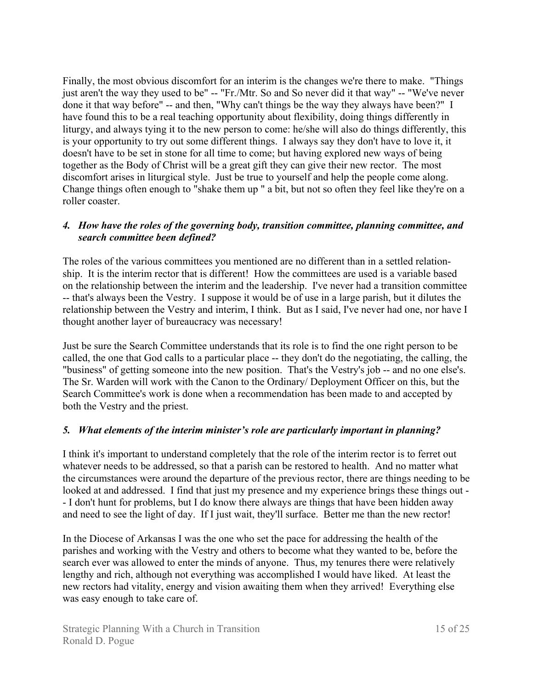Finally, the most obvious discomfort for an interim is the changes we're there to make. "Things just aren't the way they used to be" -- "Fr./Mtr. So and So never did it that way" -- "We've never done it that way before" -- and then, "Why can't things be the way they always have been?" I have found this to be a real teaching opportunity about flexibility, doing things differently in liturgy, and always tying it to the new person to come: he/she will also do things differently, this is your opportunity to try out some different things. I always say they don't have to love it, it doesn't have to be set in stone for all time to come; but having explored new ways of being together as the Body of Christ will be a great gift they can give their new rector. The most discomfort arises in liturgical style. Just be true to yourself and help the people come along. Change things often enough to "shake them up " a bit, but not so often they feel like they're on a roller coaster.

### *4. How have the roles of the governing body, transition committee, planning committee, and search committee been defined?*

The roles of the various committees you mentioned are no different than in a settled relationship. It is the interim rector that is different! How the committees are used is a variable based on the relationship between the interim and the leadership. I've never had a transition committee -- that's always been the Vestry. I suppose it would be of use in a large parish, but it dilutes the relationship between the Vestry and interim, I think. But as I said, I've never had one, nor have I thought another layer of bureaucracy was necessary!

Just be sure the Search Committee understands that its role is to find the one right person to be called, the one that God calls to a particular place -- they don't do the negotiating, the calling, the "business" of getting someone into the new position. That's the Vestry's job -- and no one else's. The Sr. Warden will work with the Canon to the Ordinary/ Deployment Officer on this, but the Search Committee's work is done when a recommendation has been made to and accepted by both the Vestry and the priest.

### *5. What elements of the interim minister's role are particularly important in planning?*

I think it's important to understand completely that the role of the interim rector is to ferret out whatever needs to be addressed, so that a parish can be restored to health. And no matter what the circumstances were around the departure of the previous rector, there are things needing to be looked at and addressed. I find that just my presence and my experience brings these things out - - I don't hunt for problems, but I do know there always are things that have been hidden away and need to see the light of day. If I just wait, they'll surface. Better me than the new rector!

In the Diocese of Arkansas I was the one who set the pace for addressing the health of the parishes and working with the Vestry and others to become what they wanted to be, before the search ever was allowed to enter the minds of anyone. Thus, my tenures there were relatively lengthy and rich, although not everything was accomplished I would have liked. At least the new rectors had vitality, energy and vision awaiting them when they arrived! Everything else was easy enough to take care of.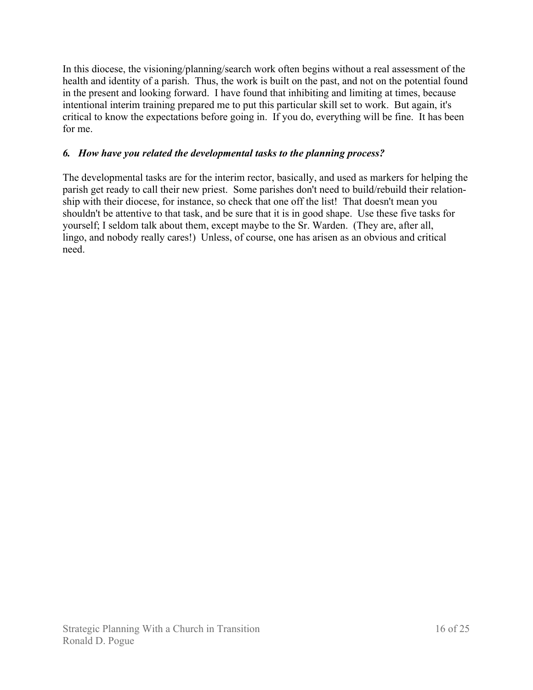In this diocese, the visioning/planning/search work often begins without a real assessment of the health and identity of a parish. Thus, the work is built on the past, and not on the potential found in the present and looking forward. I have found that inhibiting and limiting at times, because intentional interim training prepared me to put this particular skill set to work. But again, it's critical to know the expectations before going in. If you do, everything will be fine. It has been for me.

### *6. How have you related the developmental tasks to the planning process?*

The developmental tasks are for the interim rector, basically, and used as markers for helping the parish get ready to call their new priest. Some parishes don't need to build/rebuild their relationship with their diocese, for instance, so check that one off the list! That doesn't mean you shouldn't be attentive to that task, and be sure that it is in good shape. Use these five tasks for yourself; I seldom talk about them, except maybe to the Sr. Warden. (They are, after all, lingo, and nobody really cares!) Unless, of course, one has arisen as an obvious and critical need.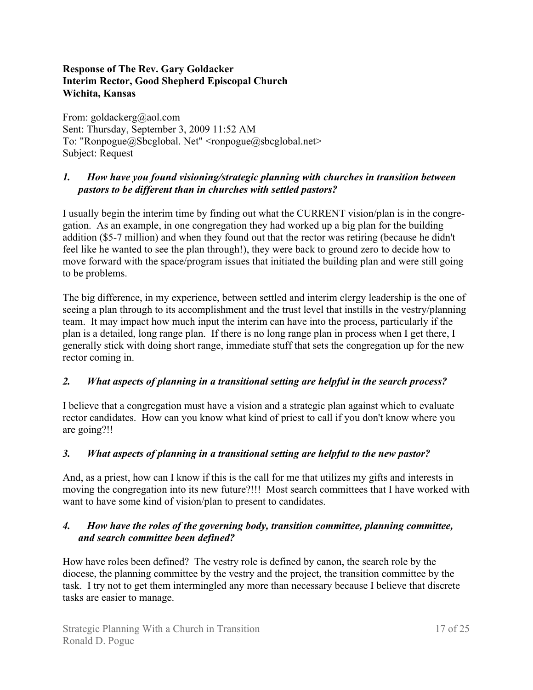### **Response of The Rev. Gary Goldacker Interim Rector, Good Shepherd Episcopal Church Wichita, Kansas**

From: goldackerg@aol.com Sent: Thursday, September 3, 2009 11:52 AM To: "Ronpogue@Sbcglobal. Net" <ronpogue@sbcglobal.net> Subject: Request

## *1. How have you found visioning/strategic planning with churches in transition between pastors to be different than in churches with settled pastors?*

I usually begin the interim time by finding out what the CURRENT vision/plan is in the congregation. As an example, in one congregation they had worked up a big plan for the building addition (\$5-7 million) and when they found out that the rector was retiring (because he didn't feel like he wanted to see the plan through!), they were back to ground zero to decide how to move forward with the space/program issues that initiated the building plan and were still going to be problems.

The big difference, in my experience, between settled and interim clergy leadership is the one of seeing a plan through to its accomplishment and the trust level that instills in the vestry/planning team. It may impact how much input the interim can have into the process, particularly if the plan is a detailed, long range plan. If there is no long range plan in process when I get there, I generally stick with doing short range, immediate stuff that sets the congregation up for the new rector coming in.

## *2. What aspects of planning in a transitional setting are helpful in the search process?*

I believe that a congregation must have a vision and a strategic plan against which to evaluate rector candidates. How can you know what kind of priest to call if you don't know where you are going?!!

## *3. What aspects of planning in a transitional setting are helpful to the new pastor?*

And, as a priest, how can I know if this is the call for me that utilizes my gifts and interests in moving the congregation into its new future?!!! Most search committees that I have worked with want to have some kind of vision/plan to present to candidates.

### *4. How have the roles of the governing body, transition committee, planning committee, and search committee been defined?*

How have roles been defined? The vestry role is defined by canon, the search role by the diocese, the planning committee by the vestry and the project, the transition committee by the task. I try not to get them intermingled any more than necessary because I believe that discrete tasks are easier to manage.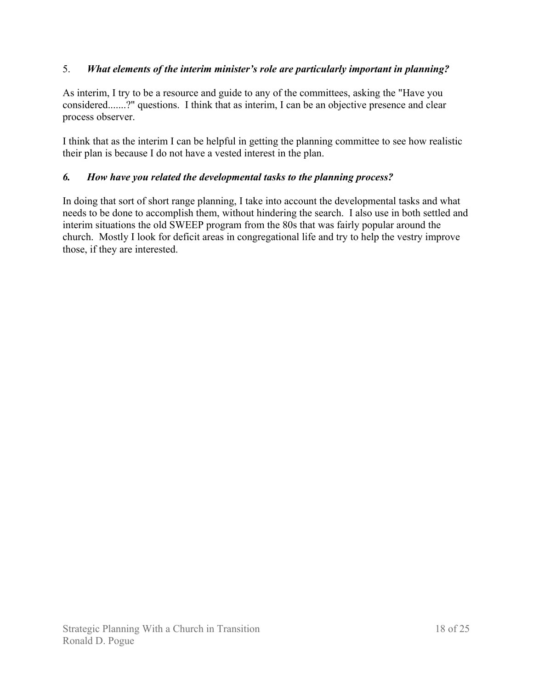## 5. *What elements of the interim minister's role are particularly important in planning?*

As interim, I try to be a resource and guide to any of the committees, asking the "Have you considered.......?" questions. I think that as interim, I can be an objective presence and clear process observer.

I think that as the interim I can be helpful in getting the planning committee to see how realistic their plan is because I do not have a vested interest in the plan.

### *6. How have you related the developmental tasks to the planning process?*

In doing that sort of short range planning, I take into account the developmental tasks and what needs to be done to accomplish them, without hindering the search. I also use in both settled and interim situations the old SWEEP program from the 80s that was fairly popular around the church. Mostly I look for deficit areas in congregational life and try to help the vestry improve those, if they are interested.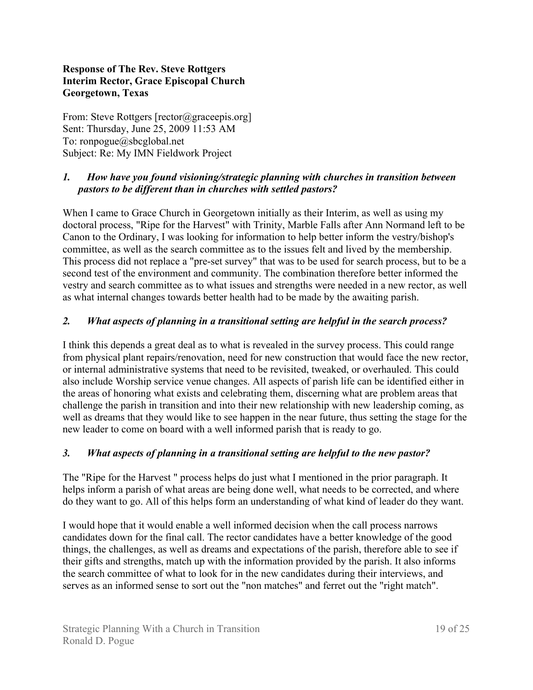### **Response of The Rev. Steve Rottgers Interim Rector, Grace Episcopal Church Georgetown, Texas**

From: Steve Rottgers [rector@graceepis.org] Sent: Thursday, June 25, 2009 11:53 AM To: ronpogue@sbcglobal.net Subject: Re: My IMN Fieldwork Project

## *1. How have you found visioning/strategic planning with churches in transition between pastors to be different than in churches with settled pastors?*

When I came to Grace Church in Georgetown initially as their Interim, as well as using my doctoral process, "Ripe for the Harvest" with Trinity, Marble Falls after Ann Normand left to be Canon to the Ordinary, I was looking for information to help better inform the vestry/bishop's committee, as well as the search committee as to the issues felt and lived by the membership. This process did not replace a "pre-set survey" that was to be used for search process, but to be a second test of the environment and community. The combination therefore better informed the vestry and search committee as to what issues and strengths were needed in a new rector, as well as what internal changes towards better health had to be made by the awaiting parish.

### *2. What aspects of planning in a transitional setting are helpful in the search process?*

I think this depends a great deal as to what is revealed in the survey process. This could range from physical plant repairs/renovation, need for new construction that would face the new rector, or internal administrative systems that need to be revisited, tweaked, or overhauled. This could also include Worship service venue changes. All aspects of parish life can be identified either in the areas of honoring what exists and celebrating them, discerning what are problem areas that challenge the parish in transition and into their new relationship with new leadership coming, as well as dreams that they would like to see happen in the near future, thus setting the stage for the new leader to come on board with a well informed parish that is ready to go.

### *3. What aspects of planning in a transitional setting are helpful to the new pastor?*

The "Ripe for the Harvest " process helps do just what I mentioned in the prior paragraph. It helps inform a parish of what areas are being done well, what needs to be corrected, and where do they want to go. All of this helps form an understanding of what kind of leader do they want.

I would hope that it would enable a well informed decision when the call process narrows candidates down for the final call. The rector candidates have a better knowledge of the good things, the challenges, as well as dreams and expectations of the parish, therefore able to see if their gifts and strengths, match up with the information provided by the parish. It also informs the search committee of what to look for in the new candidates during their interviews, and serves as an informed sense to sort out the "non matches" and ferret out the "right match".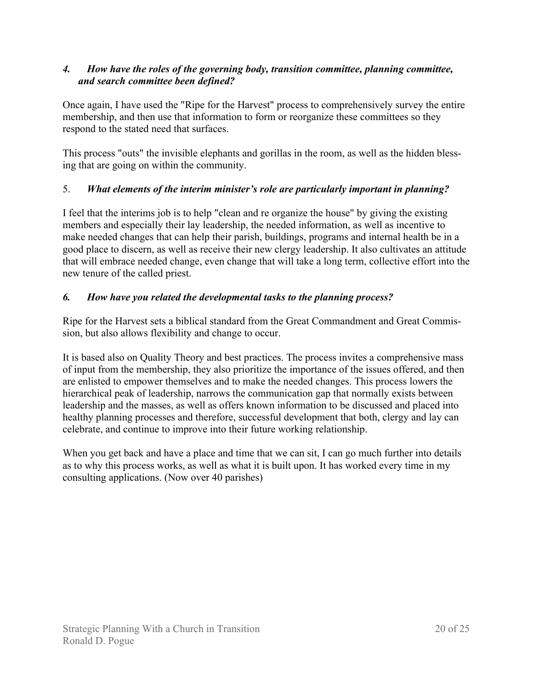### *4. How have the roles of the governing body, transition committee, planning committee, and search committee been defined?*

Once again, I have used the "Ripe for the Harvest" process to comprehensively survey the entire membership, and then use that information to form or reorganize these committees so they respond to the stated need that surfaces.

This process "outs" the invisible elephants and gorillas in the room, as well as the hidden blessing that are going on within the community.

## 5. *What elements of the interim minister's role are particularly important in planning?*

I feel that the interims job is to help "clean and re organize the house" by giving the existing members and especially their lay leadership, the needed information, as well as incentive to make needed changes that can help their parish, buildings, programs and internal health be in a good place to discern, as well as receive their new clergy leadership. It also cultivates an attitude that will embrace needed change, even change that will take a long term, collective effort into the new tenure of the called priest.

### *6. How have you related the developmental tasks to the planning process?*

Ripe for the Harvest sets a biblical standard from the Great Commandment and Great Commission, but also allows flexibility and change to occur.

It is based also on Quality Theory and best practices. The process invites a comprehensive mass of input from the membership, they also prioritize the importance of the issues offered, and then are enlisted to empower themselves and to make the needed changes. This process lowers the hierarchical peak of leadership, narrows the communication gap that normally exists between leadership and the masses, as well as offers known information to be discussed and placed into healthy planning processes and therefore, successful development that both, clergy and lay can celebrate, and continue to improve into their future working relationship.

When you get back and have a place and time that we can sit, I can go much further into details as to why this process works, as well as what it is built upon. It has worked every time in my consulting applications. (Now over 40 parishes)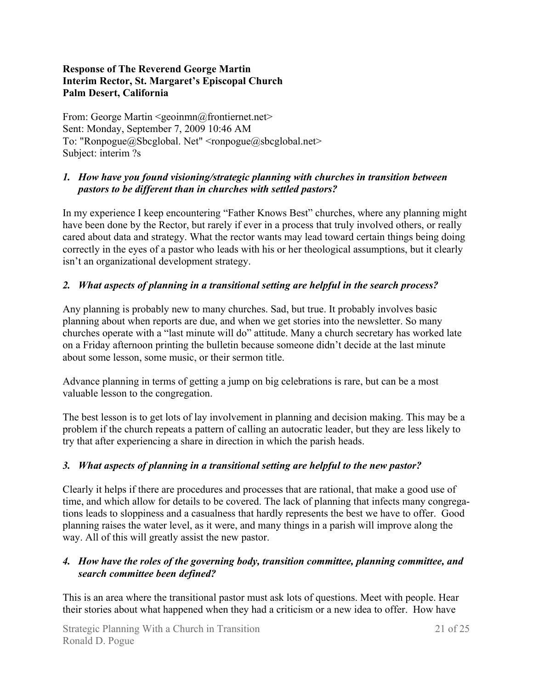### **Response of The Reverend George Martin Interim Rector, St. Margaret's Episcopal Church Palm Desert, California**

From: George Martin <geoinmn@frontiernet.net> Sent: Monday, September 7, 2009 10:46 AM To: "Ronpogue@Sbcglobal. Net" <ronpogue@sbcglobal.net> Subject: interim ?s

## *1. How have you found visioning/strategic planning with churches in transition between pastors to be different than in churches with settled pastors?*

In my experience I keep encountering "Father Knows Best" churches, where any planning might have been done by the Rector, but rarely if ever in a process that truly involved others, or really cared about data and strategy. What the rector wants may lead toward certain things being doing correctly in the eyes of a pastor who leads with his or her theological assumptions, but it clearly isn't an organizational development strategy.

### *2. What aspects of planning in a transitional setting are helpful in the search process?*

Any planning is probably new to many churches. Sad, but true. It probably involves basic planning about when reports are due, and when we get stories into the newsletter. So many churches operate with a "last minute will do" attitude. Many a church secretary has worked late on a Friday afternoon printing the bulletin because someone didn't decide at the last minute about some lesson, some music, or their sermon title.

Advance planning in terms of getting a jump on big celebrations is rare, but can be a most valuable lesson to the congregation.

The best lesson is to get lots of lay involvement in planning and decision making. This may be a problem if the church repeats a pattern of calling an autocratic leader, but they are less likely to try that after experiencing a share in direction in which the parish heads.

### *3. What aspects of planning in a transitional setting are helpful to the new pastor?*

Clearly it helps if there are procedures and processes that are rational, that make a good use of time, and which allow for details to be covered. The lack of planning that infects many congregations leads to sloppiness and a casualness that hardly represents the best we have to offer. Good planning raises the water level, as it were, and many things in a parish will improve along the way. All of this will greatly assist the new pastor.

### *4. How have the roles of the governing body, transition committee, planning committee, and search committee been defined?*

This is an area where the transitional pastor must ask lots of questions. Meet with people. Hear their stories about what happened when they had a criticism or a new idea to offer. How have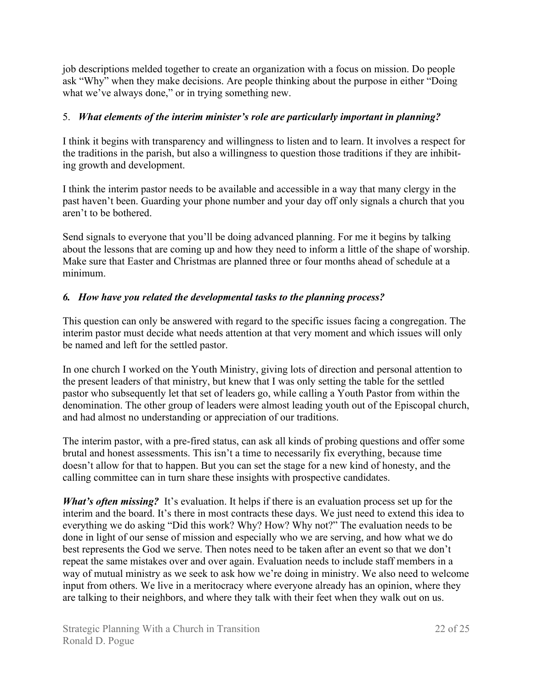job descriptions melded together to create an organization with a focus on mission. Do people ask "Why" when they make decisions. Are people thinking about the purpose in either "Doing what we've always done," or in trying something new.

### 5. *What elements of the interim minister's role are particularly important in planning?*

I think it begins with transparency and willingness to listen and to learn. It involves a respect for the traditions in the parish, but also a willingness to question those traditions if they are inhibiting growth and development.

I think the interim pastor needs to be available and accessible in a way that many clergy in the past haven't been. Guarding your phone number and your day off only signals a church that you aren't to be bothered.

Send signals to everyone that you'll be doing advanced planning. For me it begins by talking about the lessons that are coming up and how they need to inform a little of the shape of worship. Make sure that Easter and Christmas are planned three or four months ahead of schedule at a minimum.

## *6. How have you related the developmental tasks to the planning process?*

This question can only be answered with regard to the specific issues facing a congregation. The interim pastor must decide what needs attention at that very moment and which issues will only be named and left for the settled pastor.

In one church I worked on the Youth Ministry, giving lots of direction and personal attention to the present leaders of that ministry, but knew that I was only setting the table for the settled pastor who subsequently let that set of leaders go, while calling a Youth Pastor from within the denomination. The other group of leaders were almost leading youth out of the Episcopal church, and had almost no understanding or appreciation of our traditions.

The interim pastor, with a pre-fired status, can ask all kinds of probing questions and offer some brutal and honest assessments. This isn't a time to necessarily fix everything, because time doesn't allow for that to happen. But you can set the stage for a new kind of honesty, and the calling committee can in turn share these insights with prospective candidates.

*What's often missing?* It's evaluation. It helps if there is an evaluation process set up for the interim and the board. It's there in most contracts these days. We just need to extend this idea to everything we do asking "Did this work? Why? How? Why not?" The evaluation needs to be done in light of our sense of mission and especially who we are serving, and how what we do best represents the God we serve. Then notes need to be taken after an event so that we don't repeat the same mistakes over and over again. Evaluation needs to include staff members in a way of mutual ministry as we seek to ask how we're doing in ministry. We also need to welcome input from others. We live in a meritocracy where everyone already has an opinion, where they are talking to their neighbors, and where they talk with their feet when they walk out on us.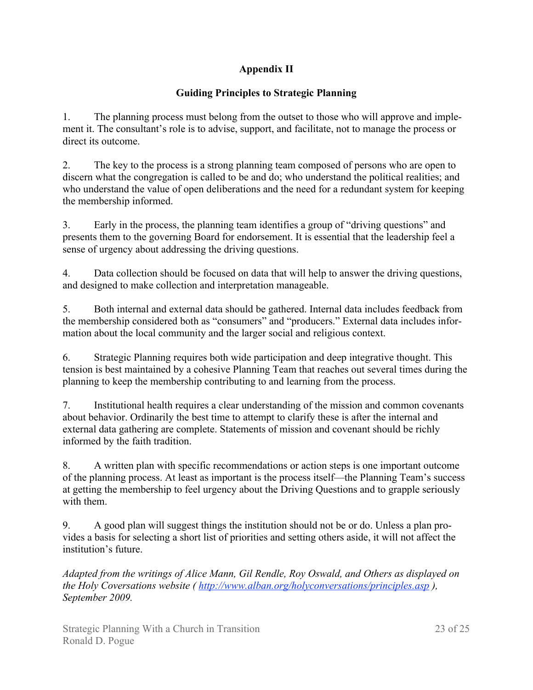# **Appendix II**

# **Guiding Principles to Strategic Planning**

1. The planning process must belong from the outset to those who will approve and implement it. The consultant's role is to advise, support, and facilitate, not to manage the process or direct its outcome.

2. The key to the process is a strong planning team composed of persons who are open to discern what the congregation is called to be and do; who understand the political realities; and who understand the value of open deliberations and the need for a redundant system for keeping the membership informed.

3. Early in the process, the planning team identifies a group of "driving questions" and presents them to the governing Board for endorsement. It is essential that the leadership feel a sense of urgency about addressing the driving questions.

4. Data collection should be focused on data that will help to answer the driving questions, and designed to make collection and interpretation manageable.

5. Both internal and external data should be gathered. Internal data includes feedback from the membership considered both as "consumers" and "producers." External data includes information about the local community and the larger social and religious context.

6. Strategic Planning requires both wide participation and deep integrative thought. This tension is best maintained by a cohesive Planning Team that reaches out several times during the planning to keep the membership contributing to and learning from the process.

7. Institutional health requires a clear understanding of the mission and common covenants about behavior. Ordinarily the best time to attempt to clarify these is after the internal and external data gathering are complete. Statements of mission and covenant should be richly informed by the faith tradition.

8. A written plan with specific recommendations or action steps is one important outcome of the planning process. At least as important is the process itself—the Planning Team's success at getting the membership to feel urgency about the Driving Questions and to grapple seriously with them.

9. A good plan will suggest things the institution should not be or do. Unless a plan provides a basis for selecting a short list of priorities and setting others aside, it will not affect the institution's future.

*Adapted from the writings of Alice Mann, Gil Rendle, Roy Oswald, and Others as displayed on the Holy Coversations website ( http://www.alban.org/holyconversations/principles.asp ), September 2009.*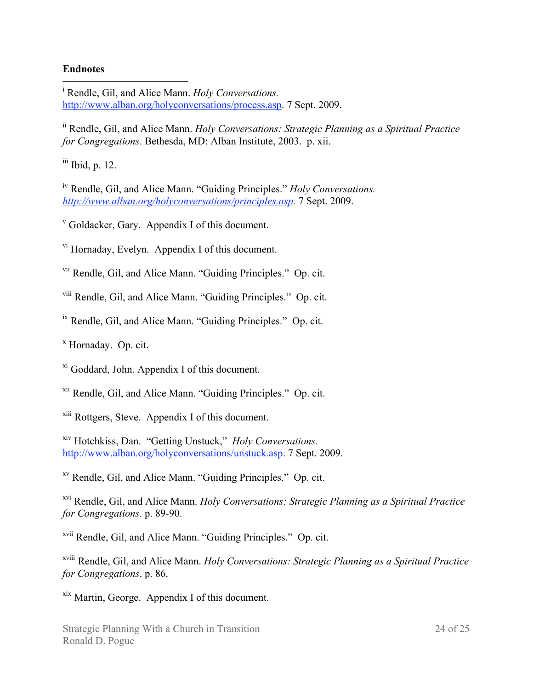#### **Endnotes**

|<br>i <sup>i</sup> Rendle, Gil, and Alice Mann. *Holy Conversations*. http://www.alban.org/holyconversations/process.asp. 7 Sept. 2009.

ii Rendle, Gil, and Alice Mann. *Holy Conversations: Strategic Planning as a Spiritual Practice for Congregations*. Bethesda, MD: Alban Institute, 2003. p. xii.

 $\frac{\text{iii}}{\text{1}}$  Ibid, p. 12.

iv Rendle, Gil, and Alice Mann. "Guiding Principles." *Holy Conversations. http://www.alban.org/holyconversations/principles.asp.* 7 Sept. 2009.

v Goldacker, Gary. Appendix I of this document.

vi Hornaday, Evelyn. Appendix I of this document.

vii Rendle, Gil, and Alice Mann. "Guiding Principles." Op. cit.

viii Rendle, Gil, and Alice Mann. "Guiding Principles." Op. cit.

ix Rendle, Gil, and Alice Mann. "Guiding Principles." Op. cit.

x Hornaday. Op. cit.

xi Goddard, John. Appendix I of this document.

xii Rendle, Gil, and Alice Mann. "Guiding Principles." Op. cit.

xiii Rottgers, Steve. Appendix I of this document.

xiv Hotchkiss, Dan. "Getting Unstuck," *Holy Conversations*. http://www.alban.org/holyconversations/unstuck.asp. 7 Sept. 2009.

xv Rendle, Gil, and Alice Mann. "Guiding Principles." Op. cit.

xvi Rendle, Gil, and Alice Mann. *Holy Conversations: Strategic Planning as a Spiritual Practice for Congregations*. p. 89-90.

xvii Rendle, Gil, and Alice Mann. "Guiding Principles." Op. cit.

xviii Rendle, Gil, and Alice Mann. *Holy Conversations: Strategic Planning as a Spiritual Practice for Congregations*. p. 86.

xix Martin, George. Appendix I of this document.